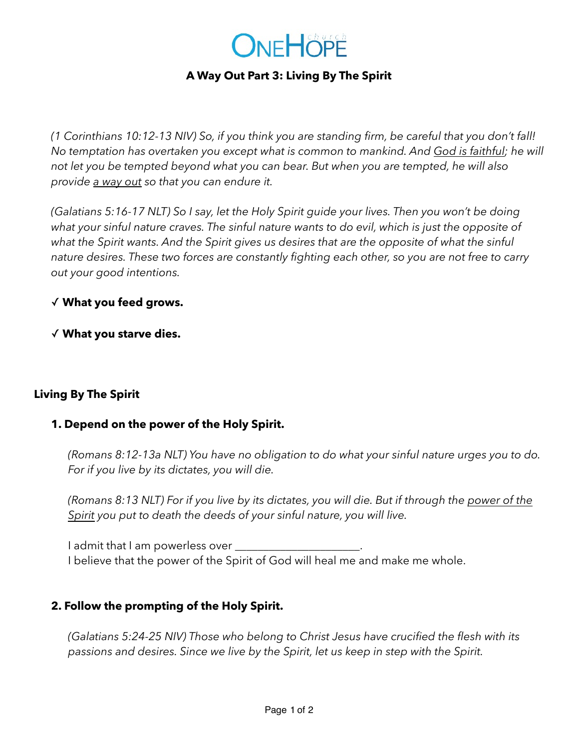

# **A Way Out Part 3: Living By The Spirit**

*(1 Corinthians 10:12-13 NIV) So, if you think you are standing firm, be careful that you don't fall! No temptation has overtaken you except what is common to mankind. And God is faithful; he will not let you be tempted beyond what you can bear. But when you are tempted, he will also provide a way out so that you can endure it.*

*(Galatians 5:16-17 NLT) So I say, let the Holy Spirit guide your lives. Then you won't be doing what your sinful nature craves. The sinful nature wants to do evil, which is just the opposite of what the Spirit wants. And the Spirit gives us desires that are the opposite of what the sinful nature desires. These two forces are constantly fighting each other, so you are not free to carry out your good intentions.*

✓ **What you feed grows.** 

✓ **What you starve dies.** 

## **Living By The Spirit**

## **1. Depend on the power of the Holy Spirit.**

*(Romans 8:12-13a NLT) You have no obligation to do what your sinful nature urges you to do. For if you live by its dictates, you will die.*

*(Romans 8:13 NLT) For if you live by its dictates, you will die. But if through the power of the Spirit you put to death the deeds of your sinful nature, you will live.* 

I admit that I am powerless over \_\_\_\_\_\_\_\_\_\_ I believe that the power of the Spirit of God will heal me and make me whole.

## **2. Follow the prompting of the Holy Spirit.**

*(Galatians 5:24-25 NIV) Those who belong to Christ Jesus have crucified the flesh with its passions and desires. Since we live by the Spirit, let us keep in step with the Spirit.*